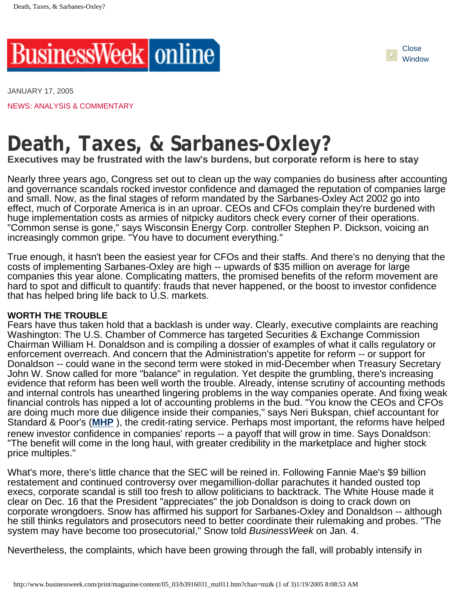



JANUARY 17, 2005

NEWS: ANALYSIS & COMMENTARY

## **Death, Taxes, & Sarbanes-Oxley?**

**Executives may be frustrated with the law's burdens, but corporate reform is here to stay**

Nearly three years ago, Congress set out to clean up the way companies do business after accounting and governance scandals rocked investor confidence and damaged the reputation of companies large and small. Now, as the final stages of reform mandated by the Sarbanes-Oxley Act 2002 go into effect, much of Corporate America is in an uproar. CEOs and CFOs complain they're burdened with huge implementation costs as armies of nitpicky auditors check every corner of their operations. "Common sense is gone," says Wisconsin Energy Corp. controller Stephen P. Dickson, voicing an increasingly common gripe. "You have to document everything."

True enough, it hasn't been the easiest year for CFOs and their staffs. And there's no denying that the costs of implementing Sarbanes-Oxley are high -- upwards of \$35 million on average for large companies this year alone. Complicating matters, the promised benefits of the reform movement are hard to spot and difficult to quantify: frauds that never happened, or the boost to investor confidence that has helped bring life back to U.S. markets.

## **WORTH THE TROUBLE**

Fears have thus taken hold that a backlash is under way. Clearly, executive complaints are reaching Washington: The U.S. Chamber of Commerce has targeted Securities & Exchange Commission Chairman William H. Donaldson and is compiling a dossier of examples of what it calls regulatory or enforcement overreach. And concern that the Administration's appetite for reform -- or support for Donaldson -- could wane in the second term were stoked in mid-December when Treasury Secretary John W. Snow called for more "balance" in regulation. Yet despite the grumbling, there's increasing evidence that reform has been well worth the trouble. Already, intense scrutiny of accounting methods and internal controls has unearthed lingering problems in the way companies operate. And fixing weak financial controls has nipped a lot of accounting problems in the bud. "You know the CEOs and CFOs are doing much more due diligence inside their companies," says Neri Bukspan, chief accountant for Standard & Poor's (**[MHP](javascript: void showTicker()** ), the credit-rating service. Perhaps most important, the reforms have helped renew investor confidence in companies' reports -- a payoff that will grow in time. Says Donaldson: "The benefit will come in the long haul, with greater credibility in the marketplace and higher stock price multiples."

What's more, there's little chance that the SEC will be reined in. Following Fannie Mae's \$9 billion restatement and continued controversy over megamillion-dollar parachutes it handed ousted top execs, corporate scandal is still too fresh to allow politicians to backtrack. The White House made it clear on Dec. 16 that the President "appreciates" the job Donaldson is doing to crack down on corporate wrongdoers. Snow has affirmed his support for Sarbanes-Oxley and Donaldson -- although he still thinks regulators and prosecutors need to better coordinate their rulemaking and probes. "The system may have become too prosecutorial," Snow told *BusinessWeek* on Jan. 4.

Nevertheless, the complaints, which have been growing through the fall, will probably intensify in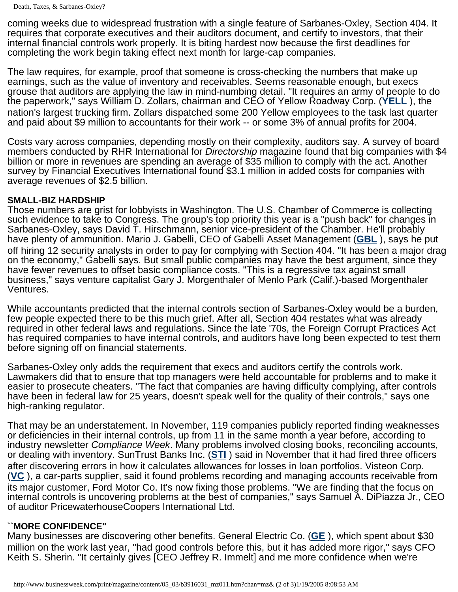coming weeks due to widespread frustration with a single feature of Sarbanes-Oxley, Section 404. It requires that corporate executives and their auditors document, and certify to investors, that their internal financial controls work properly. It is biting hardest now because the first deadlines for completing the work begin taking effect next month for large-cap companies.

The law requires, for example, proof that someone is cross-checking the numbers that make up earnings, such as the value of inventory and receivables. Seems reasonable enough, but execs grouse that auditors are applying the law in mind-numbing detail. "It requires an army of people to do the paperwork," says William D. Zollars, chairman and CEO of Yellow Roadway Corp. (**[YELL](javascript: void showTicker()** ), the nation's largest trucking firm. Zollars dispatched some 200 Yellow employees to the task last quarter and paid about \$9 million to accountants for their work -- or some 3% of annual profits for 2004.

Costs vary across companies, depending mostly on their complexity, auditors say. A survey of board members conducted by RHR International for *Directorship* magazine found that big companies with \$4 billion or more in revenues are spending an average of \$35 million to comply with the act. Another survey by Financial Executives International found \$3.1 million in added costs for companies with average revenues of \$2.5 billion.

## **SMALL-BIZ HARDSHIP**

Those numbers are grist for lobbyists in Washington. The U.S. Chamber of Commerce is collecting such evidence to take to Congress. The group's top priority this year is a "push back" for changes in Sarbanes-Oxley, says David T. Hirschmann, senior vice-president of the Chamber. He'll probably have plenty of ammunition. Mario J. Gabelli, CEO of Gabelli Asset Management (**[GBL](javascript: void showTicker()** ), says he put off hiring 12 security analysts in order to pay for complying with Section 404. "It has been a major drag on the economy," Gabelli says. But small public companies may have the best argument, since they have fewer revenues to offset basic compliance costs. "This is a regressive tax against small business," says venture capitalist Gary J. Morgenthaler of Menlo Park (Calif.)-based Morgenthaler Ventures.

While accountants predicted that the internal controls section of Sarbanes-Oxley would be a burden, few people expected there to be this much grief. After all, Section 404 restates what was already required in other federal laws and regulations. Since the late '70s, the Foreign Corrupt Practices Act has required companies to have internal controls, and auditors have long been expected to test them before signing off on financial statements.

Sarbanes-Oxley only adds the requirement that execs and auditors certify the controls work. Lawmakers did that to ensure that top managers were held accountable for problems and to make it easier to prosecute cheaters. "The fact that companies are having difficulty complying, after controls have been in federal law for 25 years, doesn't speak well for the quality of their controls," says one high-ranking regulator.

That may be an understatement. In November, 119 companies publicly reported finding weaknesses or deficiencies in their internal controls, up from 11 in the same month a year before, according to industry newsletter *Compliance Week*. Many problems involved closing books, reconciling accounts, or dealing with inventory. SunTrust Banks Inc. (**[STI](javascript: void showTicker()** ) said in November that it had fired three officers after discovering errors in how it calculates allowances for losses in loan portfolios. Visteon Corp. (**[VC](javascript: void showTicker()** ), a car-parts supplier, said it found problems recording and managing accounts receivable from its major customer, Ford Motor Co. It's now fixing those problems. "We are finding that the focus on internal controls is uncovering problems at the best of companies," says Samuel A. DiPiazza Jr., CEO of auditor PricewaterhouseCoopers International Ltd.

## **``MORE CONFIDENCE"**

Many businesses are discovering other benefits. General Electric Co. (**[GE](javascript: void showTicker()** ), which spent about \$30 million on the work last year, "had good controls before this, but it has added more rigor," says CFO Keith S. Sherin. "It certainly gives [CEO Jeffrey R. Immelt] and me more confidence when we're